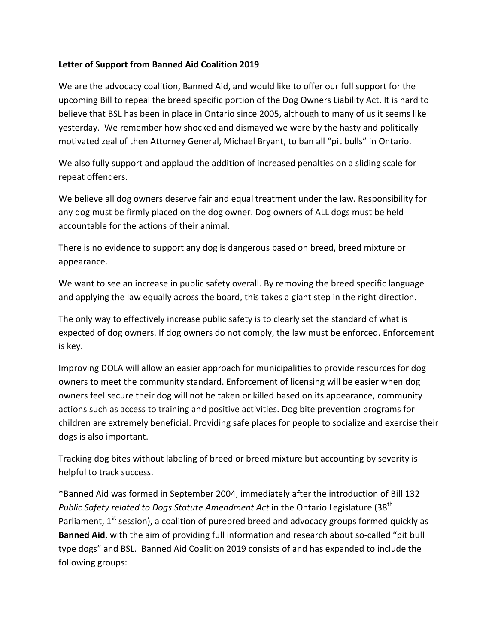## **Letter of Support from Banned Aid Coalition 2019**

We are the advocacy coalition, Banned Aid, and would like to offer our full support for the upcoming Bill to repeal the breed specific portion of the Dog Owners Liability Act. It is hard to believe that BSL has been in place in Ontario since 2005, although to many of us it seems like yesterday. We remember how shocked and dismayed we were by the hasty and politically motivated zeal of then Attorney General, Michael Bryant, to ban all "pit bulls" in Ontario.

We also fully support and applaud the addition of increased penalties on a sliding scale for repeat offenders.

We believe all dog owners deserve fair and equal treatment under the law. Responsibility for any dog must be firmly placed on the dog owner. Dog owners of ALL dogs must be held accountable for the actions of their animal.

There is no evidence to support any dog is dangerous based on breed, breed mixture or appearance.

We want to see an increase in public safety overall. By removing the breed specific language and applying the law equally across the board, this takes a giant step in the right direction.

The only way to effectively increase public safety is to clearly set the standard of what is expected of dog owners. If dog owners do not comply, the law must be enforced. Enforcement is key.

Improving DOLA will allow an easier approach for municipalities to provide resources for dog owners to meet the community standard. Enforcement of licensing will be easier when dog owners feel secure their dog will not be taken or killed based on its appearance, community actions such as access to training and positive activities. Dog bite prevention programs for children are extremely beneficial. Providing safe places for people to socialize and exercise their dogs is also important.

Tracking dog bites without labeling of breed or breed mixture but accounting by severity is helpful to track success.

\*Banned Aid was formed in September 2004, immediately after the introduction of Bill 132 *Public Safety related to Dogs Statute Amendment Act* in the Ontario Legislature (38<sup>th</sup> Parliament,  $1<sup>st</sup>$  session), a coalition of purebred breed and advocacy groups formed quickly as **Banned Aid**, with the aim of providing full information and research about so-called "pit bull type dogs" and BSL. Banned Aid Coalition 2019 consists of and has expanded to include the following groups: